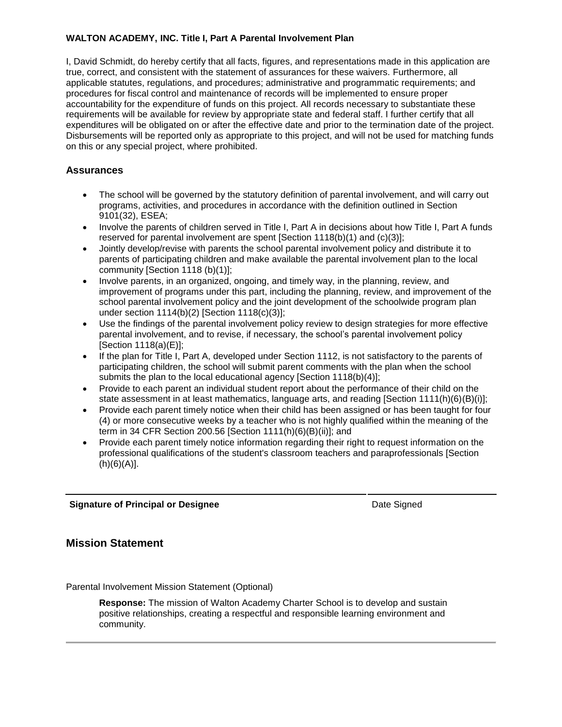#### **WALTON ACADEMY, INC. Title I, Part A Parental Involvement Plan**

I, David Schmidt, do hereby certify that all facts, figures, and representations made in this application are true, correct, and consistent with the statement of assurances for these waivers. Furthermore, all applicable statutes, regulations, and procedures; administrative and programmatic requirements; and procedures for fiscal control and maintenance of records will be implemented to ensure proper accountability for the expenditure of funds on this project. All records necessary to substantiate these requirements will be available for review by appropriate state and federal staff. I further certify that all expenditures will be obligated on or after the effective date and prior to the termination date of the project. Disbursements will be reported only as appropriate to this project, and will not be used for matching funds on this or any special project, where prohibited.

#### **Assurances**

- The school will be governed by the statutory definition of parental involvement, and will carry out programs, activities, and procedures in accordance with the definition outlined in Section 9101(32), ESEA;
- Involve the parents of children served in Title I, Part A in decisions about how Title I, Part A funds reserved for parental involvement are spent [Section 1118(b)(1) and (c)(3)];
- Jointly develop/revise with parents the school parental involvement policy and distribute it to parents of participating children and make available the parental involvement plan to the local community [Section 1118 (b)(1)];
- Involve parents, in an organized, ongoing, and timely way, in the planning, review, and improvement of programs under this part, including the planning, review, and improvement of the school parental involvement policy and the joint development of the schoolwide program plan under section 1114(b)(2) [Section 1118(c)(3)];
- Use the findings of the parental involvement policy review to design strategies for more effective parental involvement, and to revise, if necessary, the school's parental involvement policy [Section 1118(a)(E)];
- If the plan for Title I, Part A, developed under Section 1112, is not satisfactory to the parents of participating children, the school will submit parent comments with the plan when the school submits the plan to the local educational agency [Section 1118(b)(4)];
- Provide to each parent an individual student report about the performance of their child on the state assessment in at least mathematics, language arts, and reading [Section 1111(h)(6)(B)(i)];
- Provide each parent timely notice when their child has been assigned or has been taught for four (4) or more consecutive weeks by a teacher who is not highly qualified within the meaning of the term in 34 CFR Section 200.56 [Section 1111(h)(6)(B)(ii)]; and
- Provide each parent timely notice information regarding their right to request information on the professional qualifications of the student's classroom teachers and paraprofessionals [Section (h)(6)(A)].

**Signature of Principal or Designee Date Signature of Principal or Designee Date Signed** 

#### **Mission Statement**

Parental Involvement Mission Statement (Optional)

**Response:** The mission of Walton Academy Charter School is to develop and sustain positive relationships, creating a respectful and responsible learning environment and community.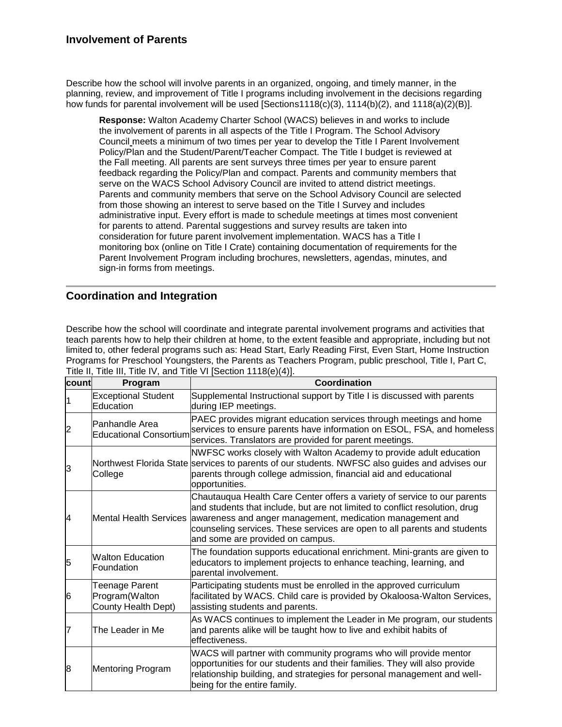Describe how the school will involve parents in an organized, ongoing, and timely manner, in the planning, review, and improvement of Title I programs including involvement in the decisions regarding how funds for parental involvement will be used [Sections1118(c)(3), 1114(b)(2), and 1118(a)(2)(B)].

**Response:** Walton Academy Charter School (WACS) believes in and works to include the involvement of parents in all aspects of the Title I Program. The School Advisory Council meets a minimum of two times per year to develop the Title I Parent Involvement Policy/Plan and the Student/Parent/Teacher Compact. The Title I budget is reviewed at the Fall meeting. All parents are sent surveys three times per year to ensure parent feedback regarding the Policy/Plan and compact. Parents and community members that serve on the WACS School Advisory Council are invited to attend district meetings. Parents and community members that serve on the School Advisory Council are selected from those showing an interest to serve based on the Title I Survey and includes administrative input. Every effort is made to schedule meetings at times most convenient for parents to attend. Parental suggestions and survey results are taken into consideration for future parent involvement implementation. WACS has a Title I monitoring box (online on Title I Crate) containing documentation of requirements for the Parent Involvement Program including brochures, newsletters, agendas, minutes, and sign-in forms from meetings.

### **Coordination and Integration**

Describe how the school will coordinate and integrate parental involvement programs and activities that teach parents how to help their children at home, to the extent feasible and appropriate, including but not limited to, other federal programs such as: Head Start, Early Reading First, Even Start, Home Instruction Programs for Preschool Youngsters, the Parents as Teachers Program, public preschool, Title I, Part C, Title II, Title III, Title IV, and Title VI [Section 1118(e)(4)].

| count | Program                                                 | <b>Coordination</b>                                                                                                                                                                                                                                                                                                                                         |
|-------|---------------------------------------------------------|-------------------------------------------------------------------------------------------------------------------------------------------------------------------------------------------------------------------------------------------------------------------------------------------------------------------------------------------------------------|
|       | <b>Exceptional Student</b><br>Education                 | Supplemental Instructional support by Title I is discussed with parents<br>during IEP meetings.                                                                                                                                                                                                                                                             |
|       | Panhandle Area<br>Educational Consortium                | PAEC provides migrant education services through meetings and home<br>services to ensure parents have information on ESOL, FSA, and homeless<br>services. Translators are provided for parent meetings.                                                                                                                                                     |
| 3     | College                                                 | NWFSC works closely with Walton Academy to provide adult education<br>Northwest Florida State services to parents of our students. NWFSC also guides and advises our<br>parents through college admission, financial aid and educational<br>opportunities.                                                                                                  |
| 4     |                                                         | Chautauqua Health Care Center offers a variety of service to our parents<br>and students that include, but are not limited to conflict resolution, drug<br>Mental Health Services awareness and anger management, medication management and<br>counseling services. These services are open to all parents and students<br>and some are provided on campus. |
| 5     | <b>Walton Education</b><br>Foundation                   | The foundation supports educational enrichment. Mini-grants are given to<br>educators to implement projects to enhance teaching, learning, and<br>parental involvement.                                                                                                                                                                                     |
| 6     | Teenage Parent<br>Program(Walton<br>County Health Dept) | Participating students must be enrolled in the approved curriculum<br>facilitated by WACS. Child care is provided by Okaloosa-Walton Services,<br>assisting students and parents.                                                                                                                                                                           |
|       | The Leader in Me                                        | As WACS continues to implement the Leader in Me program, our students<br>and parents alike will be taught how to live and exhibit habits of<br>effectiveness.                                                                                                                                                                                               |
| 8     | <b>Mentoring Program</b>                                | WACS will partner with community programs who will provide mentor<br>opportunities for our students and their families. They will also provide<br>relationship building, and strategies for personal management and well-<br>being for the entire family.                                                                                                   |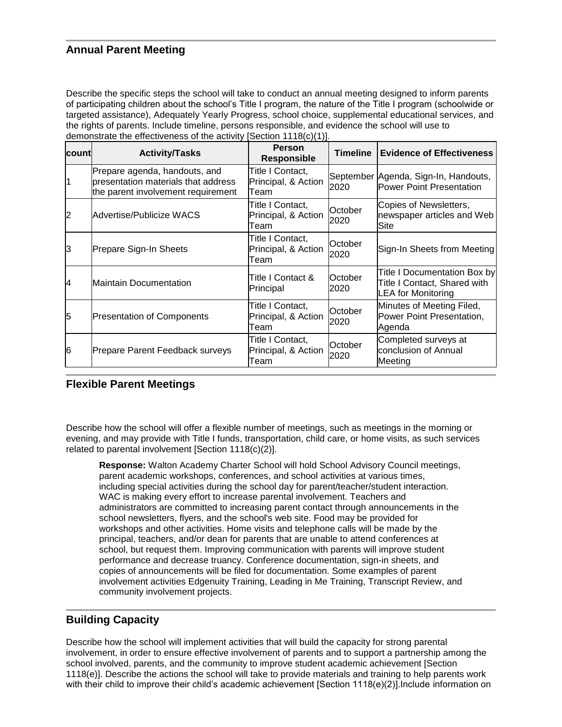### **Annual Parent Meeting**

Describe the specific steps the school will take to conduct an annual meeting designed to inform parents of participating children about the school's Title I program, the nature of the Title I program (schoolwide or targeted assistance), Adequately Yearly Progress, school choice, supplemental educational services, and the rights of parents. Include timeline, persons responsible, and evidence the school will use to demonstrate the effectiveness of the activity [Section 1118(c)(1)].

| Icountl        | <b>Activity/Tasks</b>                                                                                      | <b>Person</b><br><b>Responsible</b>             | <b>Timeline</b> | <b>Evidence of Effectiveness</b>                                                   |
|----------------|------------------------------------------------------------------------------------------------------------|-------------------------------------------------|-----------------|------------------------------------------------------------------------------------|
| 1              | Prepare agenda, handouts, and<br>presentation materials that address<br>the parent involvement requirement | Title I Contact,<br>Principal, & Action<br>Team | 2020            | September Agenda, Sign-In, Handouts,<br>Power Point Presentation                   |
| $\overline{2}$ | Advertise/Publicize WACS                                                                                   | Title I Contact,<br>Principal, & Action<br>Team | October<br>2020 | Copies of Newsletters,<br>newspaper articles and Web<br>Site                       |
| 3              | Prepare Sign-In Sheets                                                                                     | Title I Contact,<br>Principal, & Action<br>Team | October<br>2020 | Sign-In Sheets from Meeting                                                        |
| 14             | Maintain Documentation                                                                                     | Title I Contact &<br>Principal                  | October<br>2020 | Title I Documentation Box by<br>Title I Contact, Shared with<br>LEA for Monitoring |
| 5              | <b>Presentation of Components</b>                                                                          | Title I Contact,<br>Principal, & Action<br>Team | October<br>2020 | Minutes of Meeting Filed,<br>Power Point Presentation,<br>Agenda                   |
| 16             | Prepare Parent Feedback surveys                                                                            | Title I Contact,<br>Principal, & Action<br>Team | October<br>2020 | Completed surveys at<br>conclusion of Annual<br>Meeting                            |

#### **Flexible Parent Meetings**

Describe how the school will offer a flexible number of meetings, such as meetings in the morning or evening, and may provide with Title I funds, transportation, child care, or home visits, as such services related to parental involvement [Section 1118(c)(2)].

**Response:** Walton Academy Charter School will hold School Advisory Council meetings, parent academic workshops, conferences, and school activities at various times, including special activities during the school day for parent/teacher/student interaction. WAC is making every effort to increase parental involvement. Teachers and administrators are committed to increasing parent contact through announcements in the school newsletters, flyers, and the school's web site. Food may be provided for workshops and other activities. Home visits and telephone calls will be made by the principal, teachers, and/or dean for parents that are unable to attend conferences at school, but request them. Improving communication with parents will improve student performance and decrease truancy. Conference documentation, sign-in sheets, and copies of announcements will be filed for documentation. Some examples of parent involvement activities Edgenuity Training, Leading in Me Training, Transcript Review, and community involvement projects.

### **Building Capacity**

Describe how the school will implement activities that will build the capacity for strong parental involvement, in order to ensure effective involvement of parents and to support a partnership among the school involved, parents, and the community to improve student academic achievement [Section 1118(e)]. Describe the actions the school will take to provide materials and training to help parents work with their child to improve their child's academic achievement [Section 1118(e)(2)]. Include information on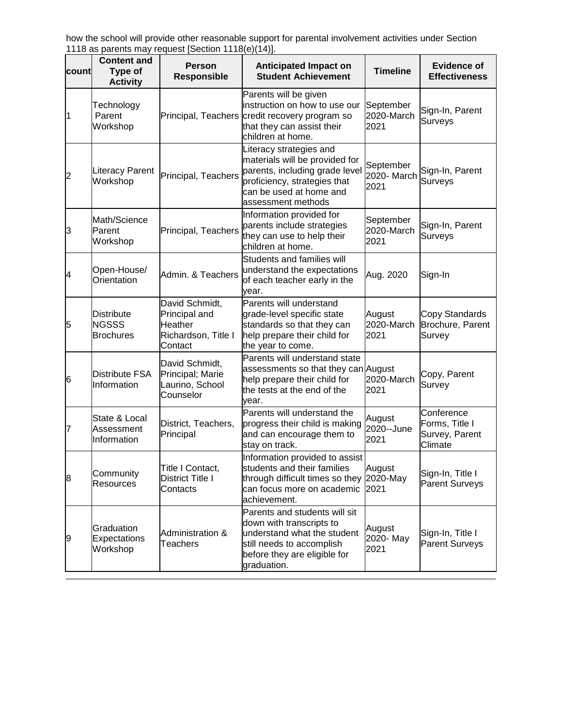how the school will provide other reasonable support for parental involvement activities under Section 1118 as parents may request [Section 1118(e)(14)].

| lcountl | <b>Content and</b><br>Type of<br><b>Activity</b>      | <b>Person</b><br><b>Responsible</b>                                          | <b>Anticipated Impact on</b><br><b>Student Achievement</b>                                                                                                                   | <b>Timeline</b>                  | <b>Evidence of</b><br><b>Effectiveness</b>                |
|---------|-------------------------------------------------------|------------------------------------------------------------------------------|------------------------------------------------------------------------------------------------------------------------------------------------------------------------------|----------------------------------|-----------------------------------------------------------|
| 1       | Technology<br>Parent<br>Workshop                      | Principal, Teachers                                                          | Parents will be given<br>instruction on how to use our<br>credit recovery program so<br>that they can assist their<br>children at home.                                      | September<br>2020-March<br>2021  | Sign-In, Parent<br>Surveys                                |
| 2       | <b>Literacy Parent</b><br>Workshop                    | Principal, Teachers                                                          | Literacy strategies and<br>materials will be provided for<br>parents, including grade level<br>proficiency, strategies that<br>can be used at home and<br>assessment methods | September<br>2020- March<br>2021 | Sign-In, Parent<br>Surveys                                |
| 3       | Math/Science<br>Parent<br>Workshop                    | Principal, Teachers                                                          | Information provided for<br>parents include strategies<br>they can use to help their<br>children at home.                                                                    | September<br>2020-March<br>2021  | Sign-In, Parent<br>Surveys                                |
| 4       | Open-House/<br>Orientation                            | Admin. & Teachers                                                            | Students and families will<br>understand the expectations<br>of each teacher early in the<br>vear.                                                                           | Aug. 2020                        | Sign-In                                                   |
| 5       | <b>Distribute</b><br><b>NGSSS</b><br><b>Brochures</b> | David Schmidt,<br>Principal and<br>Heather<br>Richardson, Title I<br>Contact | Parents will understand<br>grade-level specific state<br>standards so that they can<br>help prepare their child for<br>the year to come.                                     | August<br>2020-March<br>2021     | Copy Standards<br>Brochure, Parent<br>Survey              |
| 6       | Distribute FSA<br>Information                         | David Schmidt,<br>Principal; Marie<br>Laurino, School<br>Counselor           | Parents will understand state<br>assessments so that they can August<br>help prepare their child for<br>the tests at the end of the<br>vear.                                 | 2020-March<br>2021               | Copy, Parent<br>Survey                                    |
| 7       | State & Local<br>Assessment<br>Information            | District, Teachers,<br>Principal                                             | Parents will understand the<br>progress their child is making<br>and can encourage them to<br>stay on track.                                                                 | August<br>2020--June<br>2021     | Conference<br>Forms, Title I<br>Survey, Parent<br>Climate |
| 8       | Community<br>Resources                                | Title I Contact,<br><b>District Title I</b><br>Contacts                      | Information provided to assist<br>students and their families<br>through difficult times so they 2020-May<br>can focus more on academic<br>achievement.                      | August<br>2021                   | Sign-In, Title I<br><b>Parent Surveys</b>                 |
| 9       | Graduation<br>Expectations<br>Workshop                | Administration &<br><b>Teachers</b>                                          | Parents and students will sit<br>down with transcripts to<br>understand what the student<br>still needs to accomplish<br>before they are eligible for<br>graduation.         | August<br>2020- May<br>2021      | Sign-In, Title I<br><b>Parent Surveys</b>                 |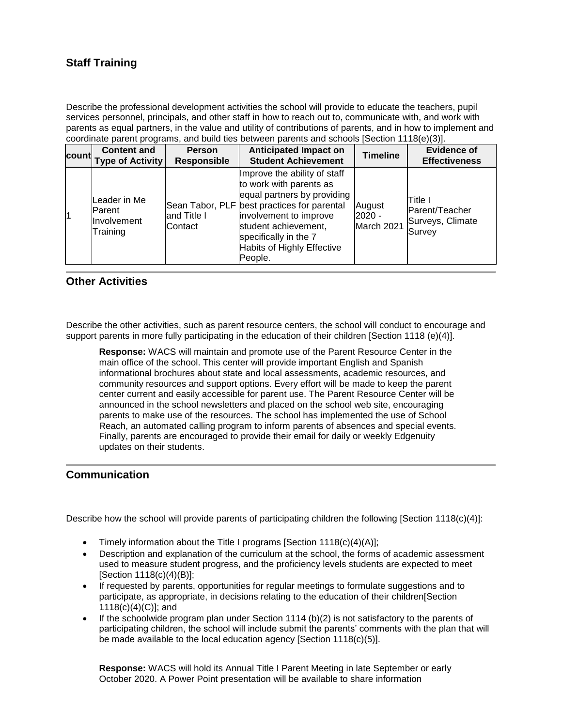# **Staff Training**

Describe the professional development activities the school will provide to educate the teachers, pupil services personnel, principals, and other staff in how to reach out to, communicate with, and work with parents as equal partners, in the value and utility of contributions of parents, and in how to implement and coordinate parent programs, and build ties between parents and schools [Section 1118(e)(3)].

| lcountl | <b>Content and</b><br><b>Type of Activity</b>                    | <b>Person</b><br><b>Responsible</b> | <b>Anticipated Impact on</b><br><b>Student Achievement</b>                                                                                                                                                                                                | <b>Timeline</b>                | <b>Evidence of</b><br><b>Effectiveness</b>               |
|---------|------------------------------------------------------------------|-------------------------------------|-----------------------------------------------------------------------------------------------------------------------------------------------------------------------------------------------------------------------------------------------------------|--------------------------------|----------------------------------------------------------|
| 11      | Leader in Me<br><b>IParent</b><br><b>Involvement</b><br>Training | and Title I<br>lContact             | Improve the ability of staff<br>to work with parents as<br>equal partners by providing<br>Sean Tabor, PLF best practices for parental<br>involvement to improve<br>student achievement,<br>specifically in the 7<br>Habits of Highly Effective<br>People. | August<br>2020 -<br>March 2021 | lTitle I<br>Parent/Teacher<br>Surveys, Climate<br>Survey |

#### **Other Activities**

Describe the other activities, such as parent resource centers, the school will conduct to encourage and support parents in more fully participating in the education of their children [Section 1118 (e)(4)].

**Response:** WACS will maintain and promote use of the Parent Resource Center in the main office of the school. This center will provide important English and Spanish informational brochures about state and local assessments, academic resources, and community resources and support options. Every effort will be made to keep the parent center current and easily accessible for parent use. The Parent Resource Center will be announced in the school newsletters and placed on the school web site, encouraging parents to make use of the resources. The school has implemented the use of School Reach, an automated calling program to inform parents of absences and special events. Finally, parents are encouraged to provide their email for daily or weekly Edgenuity updates on their students.

#### **Communication**

Describe how the school will provide parents of participating children the following [Section 1118(c)(4)]:

- Timely information about the Title I programs [Section 1118(c)(4)(A)];
- Description and explanation of the curriculum at the school, the forms of academic assessment used to measure student progress, and the proficiency levels students are expected to meet [Section 1118(c)(4)(B)];
- If requested by parents, opportunities for regular meetings to formulate suggestions and to participate, as appropriate, in decisions relating to the education of their children[Section 1118(c)(4)(C)]; and
- If the schoolwide program plan under Section 1114 (b)(2) is not satisfactory to the parents of participating children, the school will include submit the parents' comments with the plan that will be made available to the local education agency [Section 1118(c)(5)].

**Response:** WACS will hold its Annual Title I Parent Meeting in late September or early October 2020. A Power Point presentation will be available to share information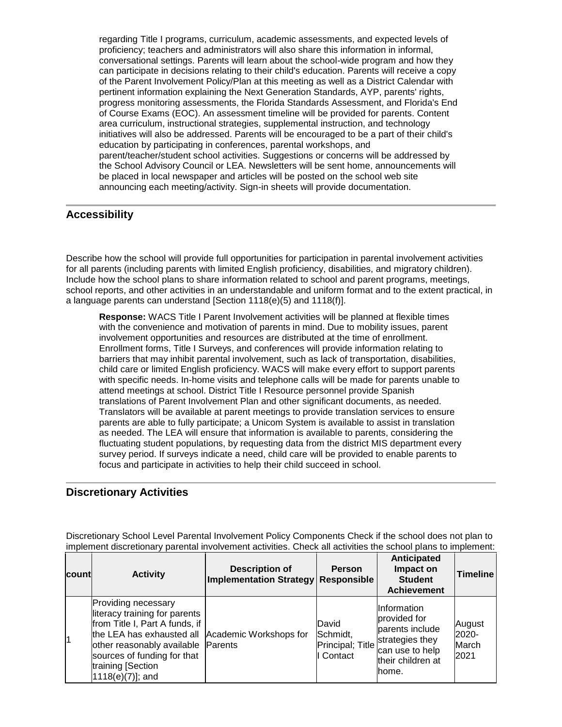regarding Title I programs, curriculum, academic assessments, and expected levels of proficiency; teachers and administrators will also share this information in informal, conversational settings. Parents will learn about the school-wide program and how they can participate in decisions relating to their child's education. Parents will receive a copy of the Parent Involvement Policy/Plan at this meeting as well as a District Calendar with pertinent information explaining the Next Generation Standards, AYP, parents' rights, progress monitoring assessments, the Florida Standards Assessment, and Florida's End of Course Exams (EOC). An assessment timeline will be provided for parents. Content area curriculum, instructional strategies, supplemental instruction, and technology initiatives will also be addressed. Parents will be encouraged to be a part of their child's education by participating in conferences, parental workshops, and parent/teacher/student school activities. Suggestions or concerns will be addressed by the School Advisory Council or LEA. Newsletters will be sent home, announcements will be placed in local newspaper and articles will be posted on the school web site announcing each meeting/activity. Sign-in sheets will provide documentation.

#### **Accessibility**

Describe how the school will provide full opportunities for participation in parental involvement activities for all parents (including parents with limited English proficiency, disabilities, and migratory children). Include how the school plans to share information related to school and parent programs, meetings, school reports, and other activities in an understandable and uniform format and to the extent practical, in a language parents can understand [Section 1118(e)(5) and 1118(f)].

**Response:** WACS Title I Parent Involvement activities will be planned at flexible times with the convenience and motivation of parents in mind. Due to mobility issues, parent involvement opportunities and resources are distributed at the time of enrollment. Enrollment forms, Title I Surveys, and conferences will provide information relating to barriers that may inhibit parental involvement, such as lack of transportation, disabilities, child care or limited English proficiency. WACS will make every effort to support parents with specific needs. In-home visits and telephone calls will be made for parents unable to attend meetings at school. District Title I Resource personnel provide Spanish translations of Parent Involvement Plan and other significant documents, as needed. Translators will be available at parent meetings to provide translation services to ensure parents are able to fully participate; a Unicom System is available to assist in translation as needed. The LEA will ensure that information is available to parents, considering the fluctuating student populations, by requesting data from the district MIS department every survey period. If surveys indicate a need, child care will be provided to enable parents to focus and participate in activities to help their child succeed in school.

#### **Discretionary Activities**

Discretionary School Level Parental Involvement Policy Components Check if the school does not plan to implement discretionary parental involvement activities. Check all activities the school plans to implement:

| <b>count</b> | <b>Activity</b>                                                                                                                                                                                                           | <b>Description of</b><br><b>Implementation Strategy</b> | <b>Person</b><br><b>Responsible</b>                | Anticipated<br>Impact on<br><b>Student</b><br><b>Achievement</b>                                                            | Timeline                         |
|--------------|---------------------------------------------------------------------------------------------------------------------------------------------------------------------------------------------------------------------------|---------------------------------------------------------|----------------------------------------------------|-----------------------------------------------------------------------------------------------------------------------------|----------------------------------|
|              | Providing necessary<br>literacy training for parents<br>from Title I, Part A funds, if<br>the LEA has exhausted all<br>other reasonably available<br>sources of funding for that<br>training [Section<br>1118(e)(7)]; and | Academic Workshops for<br>Parents                       | David<br>Schmidt,<br>Principal; Title<br>I Contact | <b>Information</b><br>provided for<br>lparents include<br>strategies they<br>can use to help<br>their children at<br>lhome. | August<br>2020-<br>March<br>2021 |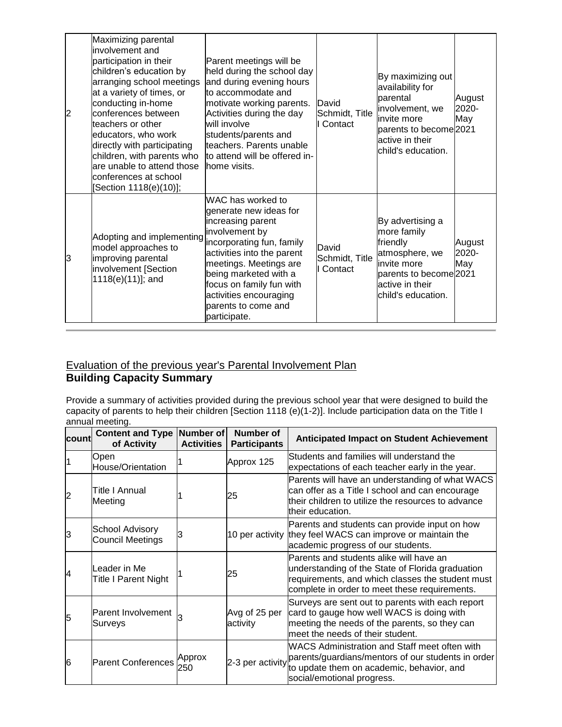| $\overline{2}$ | Maximizing parental<br>linvolvement and<br>participation in their<br>children's education by<br>arranging school meetings<br>at a variety of times, or<br>conducting in-home<br>conferences between<br>teachers or other<br>educators, who work<br>directly with participating<br>children, with parents who<br>are unable to attend those<br>conferences at school<br>[Section 1118(e)(10)]; | Parent meetings will be<br>held during the school day<br>and during evening hours<br>to accommodate and<br>motivate working parents.<br>Activities during the day<br>will involve<br>students/parents and<br>teachers. Parents unable<br>to attend will be offered in-<br>lhome visits.       | David<br>Schmidt, Title<br>Contact | By maximizing out<br>availability for<br>parental<br>involvement, we<br>invite more<br>parents to become 2021<br>active in their<br>child's education. | August<br>2020-<br>May |
|----------------|-----------------------------------------------------------------------------------------------------------------------------------------------------------------------------------------------------------------------------------------------------------------------------------------------------------------------------------------------------------------------------------------------|-----------------------------------------------------------------------------------------------------------------------------------------------------------------------------------------------------------------------------------------------------------------------------------------------|------------------------------------|--------------------------------------------------------------------------------------------------------------------------------------------------------|------------------------|
| 13             | Adopting and implementing<br>model approaches to<br>improving parental<br>involvement [Section<br>1118(e)(11)]; and                                                                                                                                                                                                                                                                           | WAC has worked to<br>generate new ideas for<br>increasing parent<br>involvement by<br>incorporating fun, family<br>activities into the parent<br>meetings. Meetings are<br>being marketed with a<br>focus on family fun with<br>activities encouraging<br>parents to come and<br>participate. | David<br>Schmidt, Title<br>Contact | By advertising a<br>more family<br>friendly<br>atmosphere, we<br>invite more<br>parents to become 2021<br>active in their<br>child's education.        | August<br>2020-<br>May |

### Evaluation of the previous year's Parental Involvement Plan **Building Capacity Summary**

Provide a summary of activities provided during the previous school year that were designed to build the capacity of parents to help their children [Section 1118 (e)(1-2)]. Include participation data on the Title I annual meeting.

| lcount         | Content and Type Number of<br>of Activity    | <b>Activities</b> | <b>Number of</b><br><b>Participants</b> | <b>Anticipated Impact on Student Achievement</b>                                                                                                                                                 |
|----------------|----------------------------------------------|-------------------|-----------------------------------------|--------------------------------------------------------------------------------------------------------------------------------------------------------------------------------------------------|
|                | Open<br>House/Orientation                    |                   | Approx 125                              | Students and families will understand the<br>expectations of each teacher early in the year.                                                                                                     |
| $\overline{2}$ | Title I Annual<br>Meeting                    |                   | 25                                      | Parents will have an understanding of what WACS<br>can offer as a Title I school and can encourage<br>their children to utilize the resources to advance<br>their education.                     |
| З              | <b>School Advisory</b><br>Council Meetings   |                   |                                         | Parents and students can provide input on how<br>10 per activity they feel WACS can improve or maintain the<br>academic progress of our students.                                                |
| 14             | lLeader in Me<br><b>Title I Parent Night</b> |                   | 25                                      | Parents and students alike will have an<br>understanding of the State of Florida graduation<br>requirements, and which classes the student must<br>complete in order to meet these requirements. |
| 5              | Parent Involvement<br>Surveys                |                   | Avg of 25 per<br>activity               | Surveys are sent out to parents with each report<br>card to gauge how well WACS is doing with<br>meeting the needs of the parents, so they can<br>meet the needs of their student.               |
| 6              | <b>Parent Conferences</b>                    | Approx<br>250     |                                         | WACS Administration and Staff meet often with<br>2-3 per activity parents/guardians/mentors of our students in order<br>to update them on academic, behavior, and<br>social/emotional progress.  |